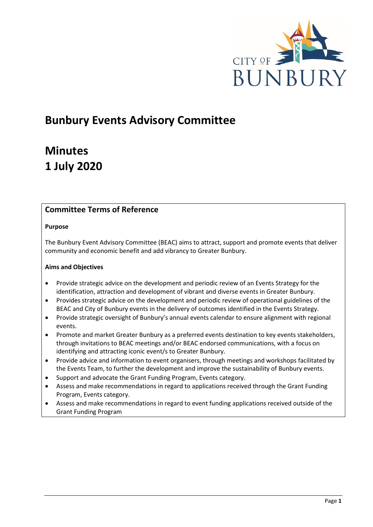

# **Bunbury Events Advisory Committee**

# **Minutes 1 July 2020**

## **Committee Terms of Reference**

### **Purpose**

The Bunbury Event Advisory Committee (BEAC) aims to attract, support and promote events that deliver community and economic benefit and add vibrancy to Greater Bunbury.

## **Aims and Objectives**

- Provide strategic advice on the development and periodic review of an Events Strategy for the identification, attraction and development of vibrant and diverse events in Greater Bunbury.
- Provides strategic advice on the development and periodic review of operational guidelines of the BEAC and City of Bunbury events in the delivery of outcomes identified in the Events Strategy.
- Provide strategic oversight of Bunbury's annual events calendar to ensure alignment with regional events.
- Promote and market Greater Bunbury as a preferred events destination to key events stakeholders, through invitations to BEAC meetings and/or BEAC endorsed communications, with a focus on identifying and attracting iconic event/s to Greater Bunbury.
- Provide advice and information to event organisers, through meetings and workshops facilitated by the Events Team, to further the development and improve the sustainability of Bunbury events.
- Support and advocate the Grant Funding Program, Events category.
- Assess and make recommendations in regard to applications received through the Grant Funding Program, Events category.
- Assess and make recommendations in regard to event funding applications received outside of the Grant Funding Program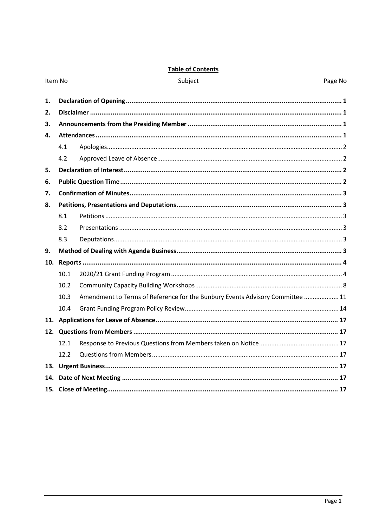## **Table of Contents**

|    | Item No | Subject                                                                       | Page No |  |
|----|---------|-------------------------------------------------------------------------------|---------|--|
|    |         |                                                                               |         |  |
| 1. |         |                                                                               |         |  |
| 2. |         |                                                                               |         |  |
| 3. |         |                                                                               |         |  |
| 4. |         |                                                                               |         |  |
|    | 4.1     |                                                                               |         |  |
|    | 4.2     |                                                                               |         |  |
| 5. |         |                                                                               |         |  |
| 6. |         |                                                                               |         |  |
| 7. |         |                                                                               |         |  |
| 8. |         |                                                                               |         |  |
|    | 8.1     |                                                                               |         |  |
|    | 8.2     |                                                                               |         |  |
|    | 8.3     |                                                                               |         |  |
| 9. |         |                                                                               |         |  |
|    |         |                                                                               |         |  |
|    | 10.1    |                                                                               |         |  |
|    | 10.2    |                                                                               |         |  |
|    | 10.3    | Amendment to Terms of Reference for the Bunbury Events Advisory Committee  11 |         |  |
|    | 10.4    |                                                                               |         |  |
|    |         |                                                                               |         |  |
|    |         |                                                                               |         |  |
|    | 12.1    |                                                                               |         |  |
|    | 12.2    |                                                                               |         |  |
|    |         |                                                                               |         |  |
|    |         |                                                                               |         |  |
|    |         |                                                                               |         |  |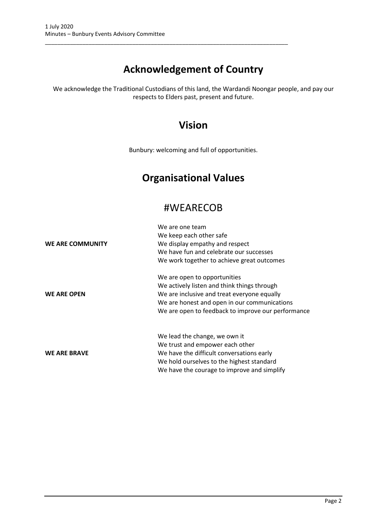# **Acknowledgement of Country**

\_\_\_\_\_\_\_\_\_\_\_\_\_\_\_\_\_\_\_\_\_\_\_\_\_\_\_\_\_\_\_\_\_\_\_\_\_\_\_\_\_\_\_\_\_\_\_\_\_\_\_\_\_\_\_\_\_\_\_\_\_\_\_\_\_\_\_\_\_\_\_\_\_\_\_\_\_\_

We acknowledge the Traditional Custodians of this land, the Wardandi Noongar people, and pay our respects to Elders past, present and future.

## **Vision**

Bunbury: welcoming and full of opportunities.

# **Organisational Values**

## #WEARECOB

|                     | We are one team                                    |  |  |  |
|---------------------|----------------------------------------------------|--|--|--|
|                     | We keep each other safe                            |  |  |  |
| WE ARE COMMUNITY    | We display empathy and respect                     |  |  |  |
|                     | We have fun and celebrate our successes            |  |  |  |
|                     | We work together to achieve great outcomes         |  |  |  |
|                     | We are open to opportunities                       |  |  |  |
|                     | We actively listen and think things through        |  |  |  |
| <b>WE ARE OPEN</b>  | We are inclusive and treat everyone equally        |  |  |  |
|                     | We are honest and open in our communications       |  |  |  |
|                     | We are open to feedback to improve our performance |  |  |  |
|                     | We lead the change, we own it                      |  |  |  |
|                     | We trust and empower each other                    |  |  |  |
| <b>WE ARE BRAVE</b> | We have the difficult conversations early          |  |  |  |
|                     | We hold ourselves to the highest standard          |  |  |  |
|                     | We have the courage to improve and simplify        |  |  |  |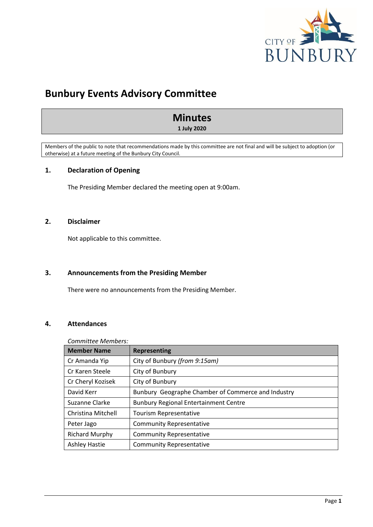

## **Bunbury Events Advisory Committee**

## **Minutes**

**1 July 2020**

Members of the public to note that recommendations made by this committee are not final and will be subject to adoption (or otherwise) at a future meeting of the Bunbury City Council.

## <span id="page-3-0"></span>**1. Declaration of Opening**

The Presiding Member declared the meeting open at 9:00am.

## <span id="page-3-1"></span>**2. Disclaimer**

Not applicable to this committee.

## <span id="page-3-2"></span>**3. Announcements from the Presiding Member**

There were no announcements from the Presiding Member.

## <span id="page-3-3"></span>**4. Attendances**

## *Committee Members:*

| <b>Member Name</b>    | <b>Representing</b>                                |  |  |
|-----------------------|----------------------------------------------------|--|--|
| Cr Amanda Yip         | City of Bunbury (from 9:15am)                      |  |  |
| Cr Karen Steele       | City of Bunbury                                    |  |  |
| Cr Cheryl Kozisek     | City of Bunbury                                    |  |  |
| David Kerr            | Bunbury Geographe Chamber of Commerce and Industry |  |  |
| Suzanne Clarke        | <b>Bunbury Regional Entertainment Centre</b>       |  |  |
| Christina Mitchell    | Tourism Representative                             |  |  |
| Peter Jago            | <b>Community Representative</b>                    |  |  |
| <b>Richard Murphy</b> | <b>Community Representative</b>                    |  |  |
| <b>Ashley Hastie</b>  | <b>Community Representative</b>                    |  |  |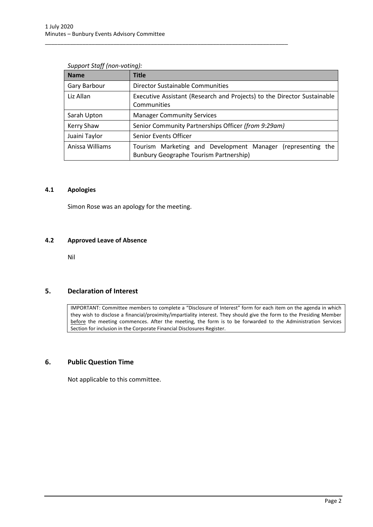| <b>Name</b>     | Title                                                                                                        |  |  |
|-----------------|--------------------------------------------------------------------------------------------------------------|--|--|
| Gary Barbour    | Director Sustainable Communities                                                                             |  |  |
| Liz Allan       | Executive Assistant (Research and Projects) to the Director Sustainable<br>Communities                       |  |  |
| Sarah Upton     | <b>Manager Community Services</b>                                                                            |  |  |
| Kerry Shaw      | Senior Community Partnerships Officer (from 9:29am)                                                          |  |  |
| Juaini Taylor   | Senior Events Officer                                                                                        |  |  |
| Anissa Williams | Tourism Marketing and Development Manager (representing the<br><b>Bunbury Geographe Tourism Partnership)</b> |  |  |

\_\_\_\_\_\_\_\_\_\_\_\_\_\_\_\_\_\_\_\_\_\_\_\_\_\_\_\_\_\_\_\_\_\_\_\_\_\_\_\_\_\_\_\_\_\_\_\_\_\_\_\_\_\_\_\_\_\_\_\_\_\_\_\_\_\_\_\_\_\_\_\_\_\_\_\_\_\_

#### *Support Staff (non-voting):*

#### <span id="page-4-0"></span>**4.1 Apologies**

Simon Rose was an apology for the meeting.

#### <span id="page-4-1"></span>**4.2 Approved Leave of Absence**

Nil

## <span id="page-4-2"></span>**5. Declaration of Interest**

IMPORTANT: Committee members to complete a "Disclosure of Interest" form for each item on the agenda in which they wish to disclose a financial/proximity/impartiality interest. They should give the form to the Presiding Member before the meeting commences. After the meeting, the form is to be forwarded to the Administration Services Section for inclusion in the Corporate Financial Disclosures Register.

## <span id="page-4-3"></span>**6. Public Question Time**

Not applicable to this committee.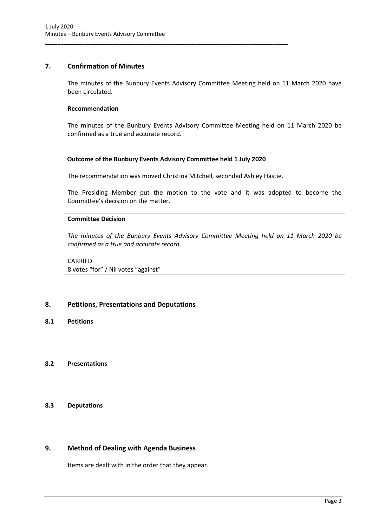## <span id="page-5-0"></span>**7. Confirmation of Minutes**

The minutes of the Bunbury Events Advisory Committee Meeting held on 11 March 2020 have been circulated.

#### **Recommendation**

The minutes of the Bunbury Events Advisory Committee Meeting held on 11 March 2020 be confirmed as a true and accurate record.

#### **Outcome of the Bunbury Events Advisory Committee held 1 July 2020**

\_\_\_\_\_\_\_\_\_\_\_\_\_\_\_\_\_\_\_\_\_\_\_\_\_\_\_\_\_\_\_\_\_\_\_\_\_\_\_\_\_\_\_\_\_\_\_\_\_\_\_\_\_\_\_\_\_\_\_\_\_\_\_\_\_\_\_\_\_\_\_\_\_\_\_\_\_\_

The recommendation was moved Christina Mitchell, seconded Ashley Hastie.

The Presiding Member put the motion to the vote and it was adopted to become the Committee's decision on the matter.

## **Committee Decision**

*The minutes of the Bunbury Events Advisory Committee Meeting held on 11 March 2020 be confirmed as a true and accurate record.*

CARRIED 8 votes "for" / Nil votes "against"

## <span id="page-5-1"></span>**8. Petitions, Presentations and Deputations**

<span id="page-5-2"></span>**8.1 Petitions**

## <span id="page-5-3"></span>**8.2 Presentations**

#### <span id="page-5-4"></span>**8.3 Deputations**

## <span id="page-5-5"></span>**9. Method of Dealing with Agenda Business**

Items are dealt with in the order that they appear.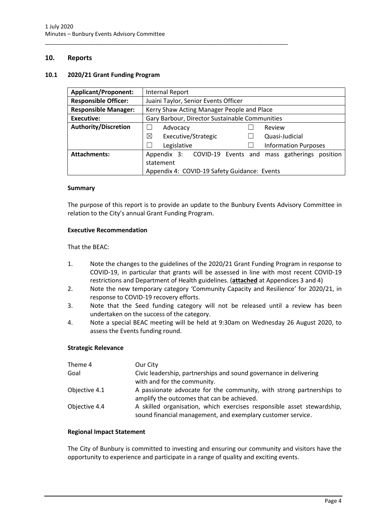#### <span id="page-6-0"></span>**10. Reports**

#### <span id="page-6-1"></span>**10.1 2020/21 Grant Funding Program**

| <b>Applicant/Proponent:</b> | Internal Report                                                |  |  |
|-----------------------------|----------------------------------------------------------------|--|--|
| <b>Responsible Officer:</b> | Juaini Taylor, Senior Events Officer                           |  |  |
| <b>Responsible Manager:</b> | Kerry Shaw Acting Manager People and Place                     |  |  |
| <b>Executive:</b>           | Gary Barbour, Director Sustainable Communities                 |  |  |
| <b>Authority/Discretion</b> | Advocacy<br>Review                                             |  |  |
|                             | ⊠<br>Executive/Strategic<br>Quasi-Judicial                     |  |  |
|                             | Legislative<br><b>Information Purposes</b>                     |  |  |
| <b>Attachments:</b>         | Appendix 3: COVID-19 Events and<br>mass gatherings<br>position |  |  |
|                             | statement                                                      |  |  |
|                             | Appendix 4: COVID-19 Safety Guidance: Events                   |  |  |

\_\_\_\_\_\_\_\_\_\_\_\_\_\_\_\_\_\_\_\_\_\_\_\_\_\_\_\_\_\_\_\_\_\_\_\_\_\_\_\_\_\_\_\_\_\_\_\_\_\_\_\_\_\_\_\_\_\_\_\_\_\_\_\_\_\_\_\_\_\_\_\_\_\_\_\_\_\_

#### **Summary**

The purpose of this report is to provide an update to the Bunbury Events Advisory Committee in relation to the City's annual Grant Funding Program.

#### **Executive Recommendation**

#### That the BEAC:

- 1. Note the changes to the guidelines of the 2020/21 Grant Funding Program in response to COVID-19, in particular that grants will be assessed in line with most recent COVID-19 restrictions and Department of Health guidelines. (**attached** at Appendices 3 and 4)
- 2. Note the new temporary category 'Community Capacity and Resilience' for 2020/21, in response to COVID-19 recovery efforts.
- 3. Note that the Seed funding category will not be released until a review has been undertaken on the success of the category.
- 4. Note a special BEAC meeting will be held at 9:30am on Wednesday 26 August 2020, to assess the Events funding round.

#### **Strategic Relevance**

| Theme 4       | Our City                                                                                                                              |
|---------------|---------------------------------------------------------------------------------------------------------------------------------------|
| Goal          | Civic leadership, partnerships and sound governance in delivering                                                                     |
|               | with and for the community.                                                                                                           |
| Objective 4.1 | A passionate advocate for the community, with strong partnerships to                                                                  |
|               | amplify the outcomes that can be achieved.                                                                                            |
| Objective 4.4 | A skilled organisation, which exercises responsible asset stewardship,<br>sound financial management, and exemplary customer service. |

#### **Regional Impact Statement**

The City of Bunbury is committed to investing and ensuring our community and visitors have the opportunity to experience and participate in a range of quality and exciting events.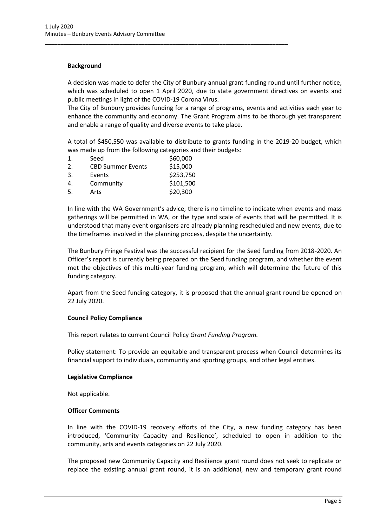#### **Background**

A decision was made to defer the City of Bunbury annual grant funding round until further notice, which was scheduled to open 1 April 2020, due to state government directives on events and public meetings in light of the COVID-19 Corona Virus.

\_\_\_\_\_\_\_\_\_\_\_\_\_\_\_\_\_\_\_\_\_\_\_\_\_\_\_\_\_\_\_\_\_\_\_\_\_\_\_\_\_\_\_\_\_\_\_\_\_\_\_\_\_\_\_\_\_\_\_\_\_\_\_\_\_\_\_\_\_\_\_\_\_\_\_\_\_\_

The City of Bunbury provides funding for a range of programs, events and activities each year to enhance the community and economy. The Grant Program aims to be thorough yet transparent and enable a range of quality and diverse events to take place.

A total of \$450,550 was available to distribute to grants funding in the 2019-20 budget, which was made up from the following categories and their budgets:

| \$60,000                             |
|--------------------------------------|
| \$15,000<br><b>CBD Summer Events</b> |
| \$253,750                            |
| \$101,500                            |
| \$20,300                             |
|                                      |

In line with the WA Government's advice, there is no timeline to indicate when events and mass gatherings will be permitted in WA, or the type and scale of events that will be permitted. It is understood that many event organisers are already planning rescheduled and new events, due to the timeframes involved in the planning process, despite the uncertainty.

The Bunbury Fringe Festival was the successful recipient for the Seed funding from 2018-2020. An Officer's report is currently being prepared on the Seed funding program, and whether the event met the objectives of this multi-year funding program, which will determine the future of this funding category.

Apart from the Seed funding category, it is proposed that the annual grant round be opened on 22 July 2020.

#### **Council Policy Compliance**

This report relates to current Council Policy *Grant Funding Program.*

Policy statement: To provide an equitable and transparent process when Council determines its financial support to individuals, community and sporting groups, and other legal entities.

#### **Legislative Compliance**

Not applicable.

#### **Officer Comments**

In line with the COVID-19 recovery efforts of the City, a new funding category has been introduced, 'Community Capacity and Resilience', scheduled to open in addition to the community, arts and events categories on 22 July 2020.

The proposed new Community Capacity and Resilience grant round does not seek to replicate or replace the existing annual grant round, it is an additional, new and temporary grant round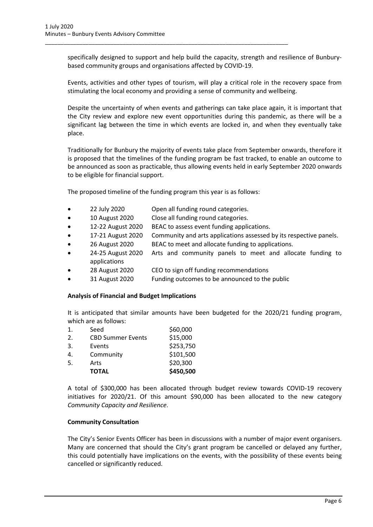specifically designed to support and help build the capacity, strength and resilience of Bunburybased community groups and organisations affected by COVID-19.

Events, activities and other types of tourism, will play a critical role in the recovery space from stimulating the local economy and providing a sense of community and wellbeing.

Despite the uncertainty of when events and gatherings can take place again, it is important that the City review and explore new event opportunities during this pandemic, as there will be a significant lag between the time in which events are locked in, and when they eventually take place.

Traditionally for Bunbury the majority of events take place from September onwards, therefore it is proposed that the timelines of the funding program be fast tracked, to enable an outcome to be announced as soon as practicable, thus allowing events held in early September 2020 onwards to be eligible for financial support.

The proposed timeline of the funding program this year is as follows:

\_\_\_\_\_\_\_\_\_\_\_\_\_\_\_\_\_\_\_\_\_\_\_\_\_\_\_\_\_\_\_\_\_\_\_\_\_\_\_\_\_\_\_\_\_\_\_\_\_\_\_\_\_\_\_\_\_\_\_\_\_\_\_\_\_\_\_\_\_\_\_\_\_\_\_\_\_\_

- 22 July 2020 Open all funding round categories.
- 10 August 2020 Close all funding round categories.
- 12-22 August 2020 BEAC to assess event funding applications.
- 17-21 August 2020 Community and arts applications assessed by its respective panels.
- 26 August 2020 BEAC to meet and allocate funding to applications.
- 24-25 August 2020 Arts and community panels to meet and allocate funding to applications
- 28 August 2020 CEO to sign off funding recommendations
- 31 August 2020 Funding outcomes to be announced to the public

#### **Analysis of Financial and Budget Implications**

It is anticipated that similar amounts have been budgeted for the 2020/21 funding program, which are as follows:

|                | <b>TOTAL</b>             | \$450,500 |
|----------------|--------------------------|-----------|
| 5.             | Arts                     | \$20,300  |
| 4.             | Community                | \$101,500 |
| 3.             | Events                   | \$253,750 |
| 2.             | <b>CBD Summer Events</b> | \$15,000  |
| $\mathbf{1}$ . | Seed                     | \$60,000  |

A total of \$300,000 has been allocated through budget review towards COVID-19 recovery initiatives for 2020/21. Of this amount \$90,000 has been allocated to the new category *Community Capacity and Resilience*.

#### **Community Consultation**

The City's Senior Events Officer has been in discussions with a number of major event organisers. Many are concerned that should the City's grant program be cancelled or delayed any further, this could potentially have implications on the events, with the possibility of these events being cancelled or significantly reduced.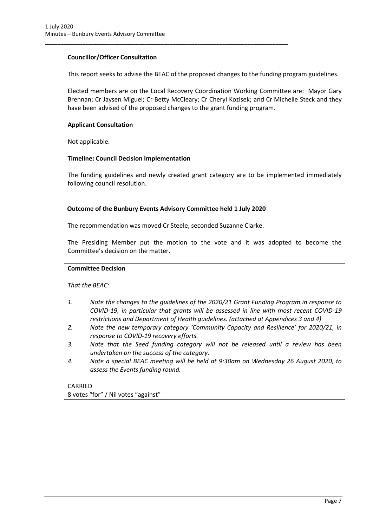#### **Councillor/Officer Consultation**

This report seeks to advise the BEAC of the proposed changes to the funding program guidelines.

Elected members are on the Local Recovery Coordination Working Committee are: Mayor Gary Brennan; Cr Jaysen Miguel; Cr Betty McCleary; Cr Cheryl Kozisek; and Cr Michelle Steck and they have been advised of the proposed changes to the grant funding program.

#### **Applicant Consultation**

Not applicable.

#### **Timeline: Council Decision Implementation**

The funding guidelines and newly created grant category are to be implemented immediately following council resolution.

#### **Outcome of the Bunbury Events Advisory Committee held 1 July 2020**

\_\_\_\_\_\_\_\_\_\_\_\_\_\_\_\_\_\_\_\_\_\_\_\_\_\_\_\_\_\_\_\_\_\_\_\_\_\_\_\_\_\_\_\_\_\_\_\_\_\_\_\_\_\_\_\_\_\_\_\_\_\_\_\_\_\_\_\_\_\_\_\_\_\_\_\_\_\_

The recommendation was moved Cr Steele, seconded Suzanne Clarke.

The Presiding Member put the motion to the vote and it was adopted to become the Committee's decision on the matter.

#### **Committee Decision**

*That the BEAC:*

- *1. Note the changes to the guidelines of the 2020/21 Grant Funding Program in response to COVID-19, in particular that grants will be assessed in line with most recent COVID-19 restrictions and Department of Health guidelines. (attached at Appendices 3 and 4)*
- *2. Note the new temporary category 'Community Capacity and Resilience' for 2020/21, in response to COVID-19 recovery efforts.*
- *3. Note that the Seed funding category will not be released until a review has been undertaken on the success of the category.*
- *4. Note a special BEAC meeting will be held at 9:30am on Wednesday 26 August 2020, to assess the Events funding round.*

CARRIED 8 votes "for" / Nil votes "against"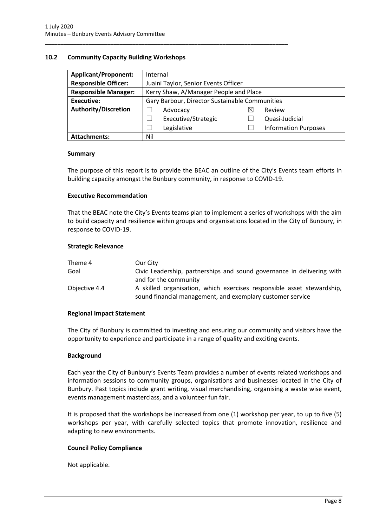### <span id="page-10-0"></span>**10.2 Community Capacity Building Workshops**

| <b>Applicant/Proponent:</b> | Internal                                       |   |                             |
|-----------------------------|------------------------------------------------|---|-----------------------------|
| <b>Responsible Officer:</b> | Juaini Taylor, Senior Events Officer           |   |                             |
| <b>Responsible Manager:</b> | Kerry Shaw, A/Manager People and Place         |   |                             |
| <b>Executive:</b>           | Gary Barbour, Director Sustainable Communities |   |                             |
| <b>Authority/Discretion</b> | Advocacy                                       | ⋉ | Review                      |
|                             | Executive/Strategic                            |   | Quasi-Judicial              |
|                             | Legislative                                    |   | <b>Information Purposes</b> |
| <b>Attachments:</b>         | Nil                                            |   |                             |

\_\_\_\_\_\_\_\_\_\_\_\_\_\_\_\_\_\_\_\_\_\_\_\_\_\_\_\_\_\_\_\_\_\_\_\_\_\_\_\_\_\_\_\_\_\_\_\_\_\_\_\_\_\_\_\_\_\_\_\_\_\_\_\_\_\_\_\_\_\_\_\_\_\_\_\_\_\_

#### **Summary**

The purpose of this report is to provide the BEAC an outline of the City's Events team efforts in building capacity amongst the Bunbury community, in response to COVID-19.

#### **Executive Recommendation**

That the BEAC note the City's Events teams plan to implement a series of workshops with the aim to build capacity and resilience within groups and organisations located in the City of Bunbury, in response to COVID-19.

#### **Strategic Relevance**

| Theme 4       | Our City                                                               |
|---------------|------------------------------------------------------------------------|
| Goal          | Civic Leadership, partnerships and sound governance in delivering with |
|               | and for the community                                                  |
| Objective 4.4 | A skilled organisation, which exercises responsible asset stewardship, |
|               | sound financial management, and exemplary customer service             |

#### **Regional Impact Statement**

The City of Bunbury is committed to investing and ensuring our community and visitors have the opportunity to experience and participate in a range of quality and exciting events.

#### **Background**

Each year the City of Bunbury's Events Team provides a number of events related workshops and information sessions to community groups, organisations and businesses located in the City of Bunbury. Past topics include grant writing, visual merchandising, organising a waste wise event, events management masterclass, and a volunteer fun fair.

It is proposed that the workshops be increased from one (1) workshop per year, to up to five (5) workshops per year, with carefully selected topics that promote innovation, resilience and adapting to new environments.

#### **Council Policy Compliance**

Not applicable.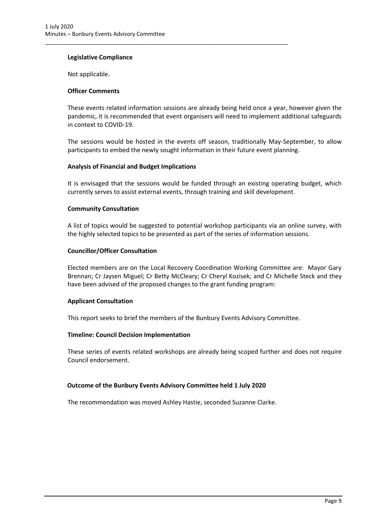#### **Legislative Compliance**

Not applicable.

#### **Officer Comments**

These events related information sessions are already being held once a year, however given the pandemic, it is recommended that event organisers will need to implement additional safeguards in context to COVID-19.

\_\_\_\_\_\_\_\_\_\_\_\_\_\_\_\_\_\_\_\_\_\_\_\_\_\_\_\_\_\_\_\_\_\_\_\_\_\_\_\_\_\_\_\_\_\_\_\_\_\_\_\_\_\_\_\_\_\_\_\_\_\_\_\_\_\_\_\_\_\_\_\_\_\_\_\_\_\_

The sessions would be hosted in the events off season, traditionally May-September, to allow participants to embed the newly sought information in their future event planning.

#### **Analysis of Financial and Budget Implications**

It is envisaged that the sessions would be funded through an existing operating budget, which currently serves to assist external events, through training and skill development.

#### **Community Consultation**

A list of topics would be suggested to potential workshop participants via an online survey, with the highly selected topics to be presented as part of the series of information sessions.

#### **Councillor/Officer Consultation**

Elected members are on the Local Recovery Coordination Working Committee are: Mayor Gary Brennan; Cr Jaysen Miguel; Cr Betty McCleary; Cr Cheryl Kozisek; and Cr Michelle Steck and they have been advised of the proposed changes to the grant funding program:

#### **Applicant Consultation**

This report seeks to brief the members of the Bunbury Events Advisory Committee.

#### **Timeline: Council Decision Implementation**

These series of events related workshops are already being scoped further and does not require Council endorsement.

#### **Outcome of the Bunbury Events Advisory Committee held 1 July 2020**

The recommendation was moved Ashley Hastie, seconded Suzanne Clarke.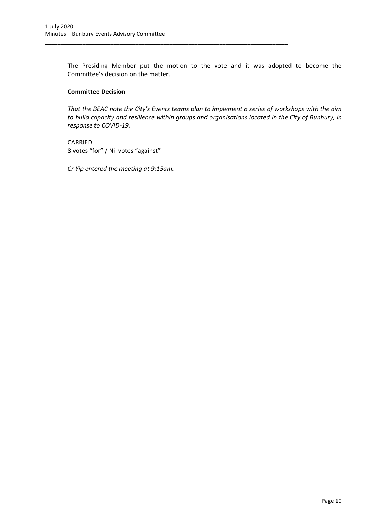The Presiding Member put the motion to the vote and it was adopted to become the Committee's decision on the matter.

\_\_\_\_\_\_\_\_\_\_\_\_\_\_\_\_\_\_\_\_\_\_\_\_\_\_\_\_\_\_\_\_\_\_\_\_\_\_\_\_\_\_\_\_\_\_\_\_\_\_\_\_\_\_\_\_\_\_\_\_\_\_\_\_\_\_\_\_\_\_\_\_\_\_\_\_\_\_

#### **Committee Decision**

*That the BEAC note the City's Events teams plan to implement a series of workshops with the aim to build capacity and resilience within groups and organisations located in the City of Bunbury, in response to COVID-19.*

CARRIED 8 votes "for" / Nil votes "against"

*Cr Yip entered the meeting at 9:15am.*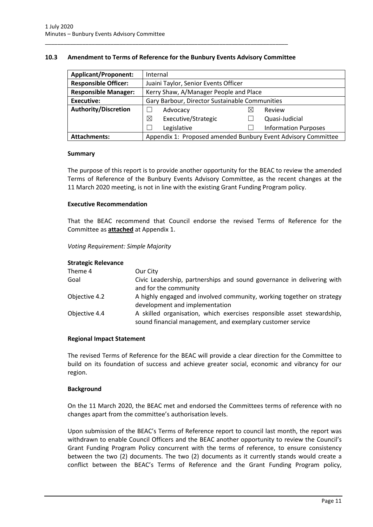#### <span id="page-13-0"></span>**10.3 Amendment to Terms of Reference for the Bunbury Events Advisory Committee**

\_\_\_\_\_\_\_\_\_\_\_\_\_\_\_\_\_\_\_\_\_\_\_\_\_\_\_\_\_\_\_\_\_\_\_\_\_\_\_\_\_\_\_\_\_\_\_\_\_\_\_\_\_\_\_\_\_\_\_\_\_\_\_\_\_\_\_\_\_\_\_\_\_\_\_\_\_\_

| <b>Applicant/Proponent:</b> | Internal                                                      |   |                             |
|-----------------------------|---------------------------------------------------------------|---|-----------------------------|
| <b>Responsible Officer:</b> | Juaini Taylor, Senior Events Officer                          |   |                             |
| <b>Responsible Manager:</b> | Kerry Shaw, A/Manager People and Place                        |   |                             |
| <b>Executive:</b>           | Gary Barbour, Director Sustainable Communities                |   |                             |
| <b>Authority/Discretion</b> | Advocacy                                                      | ⋉ | Review                      |
|                             | Executive/Strategic<br>⊠                                      |   | Quasi-Judicial              |
|                             | Legislative                                                   |   | <b>Information Purposes</b> |
| <b>Attachments:</b>         | Appendix 1: Proposed amended Bunbury Event Advisory Committee |   |                             |

#### **Summary**

The purpose of this report is to provide another opportunity for the BEAC to review the amended Terms of Reference of the Bunbury Events Advisory Committee, as the recent changes at the 11 March 2020 meeting, is not in line with the existing Grant Funding Program policy.

## **Executive Recommendation**

That the BEAC recommend that Council endorse the revised Terms of Reference for the Committee as **attached** at Appendix 1.

#### *Voting Requirement: Simple Majority*

#### **Strategic Relevance**

| Our City                                                                                                                             |
|--------------------------------------------------------------------------------------------------------------------------------------|
| Civic Leadership, partnerships and sound governance in delivering with<br>and for the community                                      |
| A highly engaged and involved community, working together on strategy<br>development and implementation                              |
| A skilled organisation, which exercises responsible asset stewardship,<br>sound financial management, and exemplary customer service |
|                                                                                                                                      |

#### **Regional Impact Statement**

The revised Terms of Reference for the BEAC will provide a clear direction for the Committee to build on its foundation of success and achieve greater social, economic and vibrancy for our region.

#### **Background**

On the 11 March 2020, the BEAC met and endorsed the Committees terms of reference with no changes apart from the committee's authorisation levels.

Upon submission of the BEAC's Terms of Reference report to council last month, the report was withdrawn to enable Council Officers and the BEAC another opportunity to review the Council's Grant Funding Program Policy concurrent with the terms of reference, to ensure consistency between the two (2) documents. The two (2) documents as it currently stands would create a conflict between the BEAC's Terms of Reference and the Grant Funding Program policy,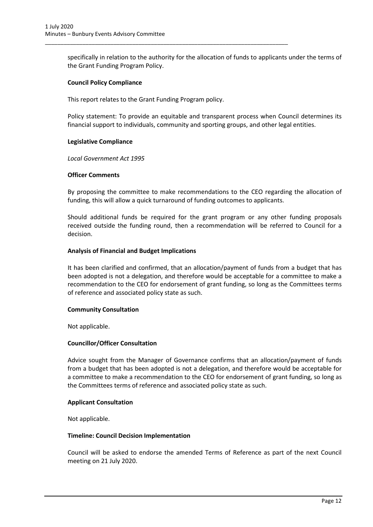specifically in relation to the authority for the allocation of funds to applicants under the terms of the Grant Funding Program Policy.

#### **Council Policy Compliance**

This report relates to the Grant Funding Program policy.

\_\_\_\_\_\_\_\_\_\_\_\_\_\_\_\_\_\_\_\_\_\_\_\_\_\_\_\_\_\_\_\_\_\_\_\_\_\_\_\_\_\_\_\_\_\_\_\_\_\_\_\_\_\_\_\_\_\_\_\_\_\_\_\_\_\_\_\_\_\_\_\_\_\_\_\_\_\_

Policy statement: To provide an equitable and transparent process when Council determines its financial support to individuals, community and sporting groups, and other legal entities.

#### **Legislative Compliance**

*Local Government Act 1995*

#### **Officer Comments**

By proposing the committee to make recommendations to the CEO regarding the allocation of funding, this will allow a quick turnaround of funding outcomes to applicants.

Should additional funds be required for the grant program or any other funding proposals received outside the funding round, then a recommendation will be referred to Council for a decision.

#### **Analysis of Financial and Budget Implications**

It has been clarified and confirmed, that an allocation/payment of funds from a budget that has been adopted is not a delegation, and therefore would be acceptable for a committee to make a recommendation to the CEO for endorsement of grant funding, so long as the Committees terms of reference and associated policy state as such.

#### **Community Consultation**

Not applicable.

#### **Councillor/Officer Consultation**

Advice sought from the Manager of Governance confirms that an allocation/payment of funds from a budget that has been adopted is not a delegation, and therefore would be acceptable for a committee to make a recommendation to the CEO for endorsement of grant funding, so long as the Committees terms of reference and associated policy state as such.

#### **Applicant Consultation**

Not applicable.

#### **Timeline: Council Decision Implementation**

Council will be asked to endorse the amended Terms of Reference as part of the next Council meeting on 21 July 2020.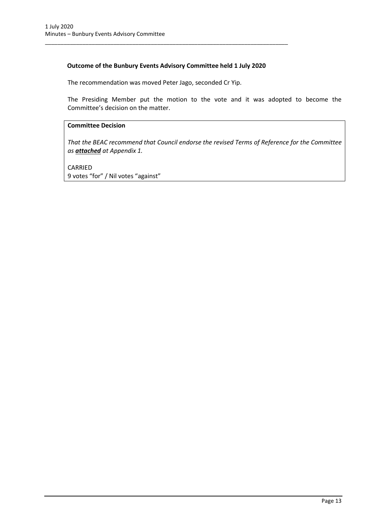## **Outcome of the Bunbury Events Advisory Committee held 1 July 2020**

\_\_\_\_\_\_\_\_\_\_\_\_\_\_\_\_\_\_\_\_\_\_\_\_\_\_\_\_\_\_\_\_\_\_\_\_\_\_\_\_\_\_\_\_\_\_\_\_\_\_\_\_\_\_\_\_\_\_\_\_\_\_\_\_\_\_\_\_\_\_\_\_\_\_\_\_\_\_

The recommendation was moved Peter Jago, seconded Cr Yip.

The Presiding Member put the motion to the vote and it was adopted to become the Committee's decision on the matter.

#### **Committee Decision**

*That the BEAC recommend that Council endorse the revised Terms of Reference for the Committee as attached at Appendix 1.*

CARRIED 9 votes "for" / Nil votes "against"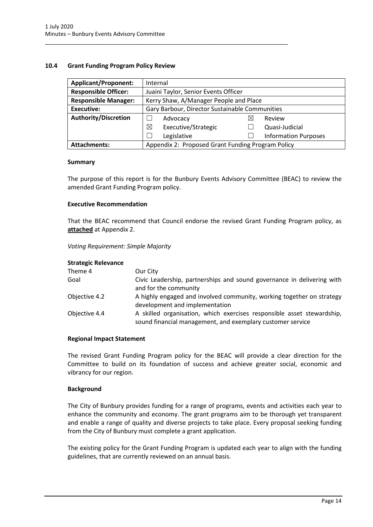#### <span id="page-16-0"></span>**10.4 Grant Funding Program Policy Review**

| <b>Applicant/Proponent:</b> | Internal                                          |  |                             |
|-----------------------------|---------------------------------------------------|--|-----------------------------|
| <b>Responsible Officer:</b> | Juaini Taylor, Senior Events Officer              |  |                             |
| <b>Responsible Manager:</b> | Kerry Shaw, A/Manager People and Place            |  |                             |
| Executive:                  | Gary Barbour, Director Sustainable Communities    |  |                             |
| <b>Authority/Discretion</b> | Advocacy                                          |  | Review                      |
|                             | ⊠<br>Executive/Strategic                          |  | Quasi-Judicial              |
|                             | Legislative                                       |  | <b>Information Purposes</b> |
| <b>Attachments:</b>         | Appendix 2: Proposed Grant Funding Program Policy |  |                             |

\_\_\_\_\_\_\_\_\_\_\_\_\_\_\_\_\_\_\_\_\_\_\_\_\_\_\_\_\_\_\_\_\_\_\_\_\_\_\_\_\_\_\_\_\_\_\_\_\_\_\_\_\_\_\_\_\_\_\_\_\_\_\_\_\_\_\_\_\_\_\_\_\_\_\_\_\_\_

#### **Summary**

The purpose of this report is for the Bunbury Events Advisory Committee (BEAC) to review the amended Grant Funding Program policy.

#### **Executive Recommendation**

That the BEAC recommend that Council endorse the revised Grant Funding Program policy, as **attached** at Appendix 2.

#### *Voting Requirement: Simple Majority*

## **Strategic Relevance**

| Theme 4       | Our City                                                                                                                             |
|---------------|--------------------------------------------------------------------------------------------------------------------------------------|
| Goal          | Civic Leadership, partnerships and sound governance in delivering with<br>and for the community                                      |
| Objective 4.2 | A highly engaged and involved community, working together on strategy<br>development and implementation                              |
| Objective 4.4 | A skilled organisation, which exercises responsible asset stewardship,<br>sound financial management, and exemplary customer service |

#### **Regional Impact Statement**

The revised Grant Funding Program policy for the BEAC will provide a clear direction for the Committee to build on its foundation of success and achieve greater social, economic and vibrancy for our region.

#### **Background**

The City of Bunbury provides funding for a range of programs, events and activities each year to enhance the community and economy. The grant programs aim to be thorough yet transparent and enable a range of quality and diverse projects to take place. Every proposal seeking funding from the City of Bunbury must complete a grant application.

The existing policy for the Grant Funding Program is updated each year to align with the funding guidelines, that are currently reviewed on an annual basis.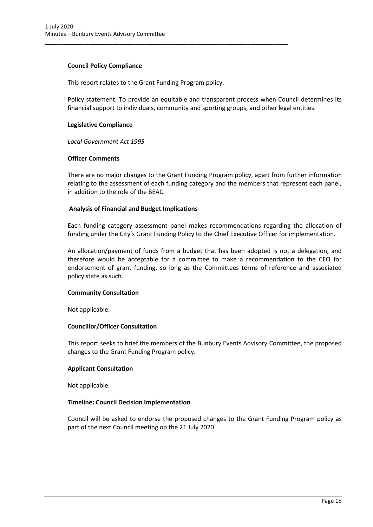#### **Council Policy Compliance**

This report relates to the Grant Funding Program policy.

\_\_\_\_\_\_\_\_\_\_\_\_\_\_\_\_\_\_\_\_\_\_\_\_\_\_\_\_\_\_\_\_\_\_\_\_\_\_\_\_\_\_\_\_\_\_\_\_\_\_\_\_\_\_\_\_\_\_\_\_\_\_\_\_\_\_\_\_\_\_\_\_\_\_\_\_\_\_

Policy statement: To provide an equitable and transparent process when Council determines its financial support to individuals, community and sporting groups, and other legal entities.

#### **Legislative Compliance**

*Local Government Act 1995*

#### **Officer Comments**

There are no major changes to the Grant Funding Program policy, apart from further information relating to the assessment of each funding category and the members that represent each panel, in addition to the role of the BEAC.

#### **Analysis of Financial and Budget Implications**

Each funding category assessment panel makes recommendations regarding the allocation of funding under the City's Grant Funding Policy to the Chief Executive Officer for implementation.

An allocation/payment of funds from a budget that has been adopted is not a delegation, and therefore would be acceptable for a committee to make a recommendation to the CEO for endorsement of grant funding, so long as the Committees terms of reference and associated policy state as such.

#### **Community Consultation**

Not applicable.

#### **Councillor/Officer Consultation**

This report seeks to brief the members of the Bunbury Events Advisory Committee, the proposed changes to the Grant Funding Program policy.

#### **Applicant Consultation**

Not applicable.

#### **Timeline: Council Decision Implementation**

Council will be asked to endorse the proposed changes to the Grant Funding Program policy as part of the next Council meeting on the 21 July 2020.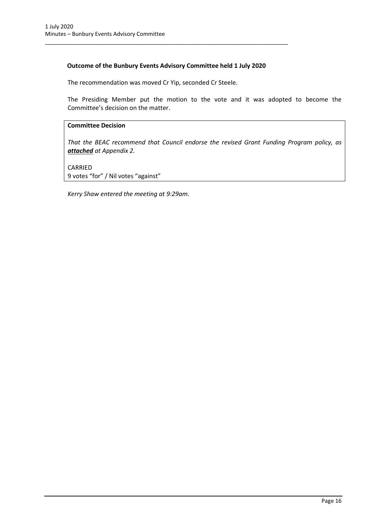## **Outcome of the Bunbury Events Advisory Committee held 1 July 2020**

\_\_\_\_\_\_\_\_\_\_\_\_\_\_\_\_\_\_\_\_\_\_\_\_\_\_\_\_\_\_\_\_\_\_\_\_\_\_\_\_\_\_\_\_\_\_\_\_\_\_\_\_\_\_\_\_\_\_\_\_\_\_\_\_\_\_\_\_\_\_\_\_\_\_\_\_\_\_

The recommendation was moved Cr Yip, seconded Cr Steele.

The Presiding Member put the motion to the vote and it was adopted to become the Committee's decision on the matter.

#### **Committee Decision**

*That the BEAC recommend that Council endorse the revised Grant Funding Program policy, as attached at Appendix 2.*

CARRIED

9 votes "for" / Nil votes "against"

*Kerry Shaw entered the meeting at 9:29am.*